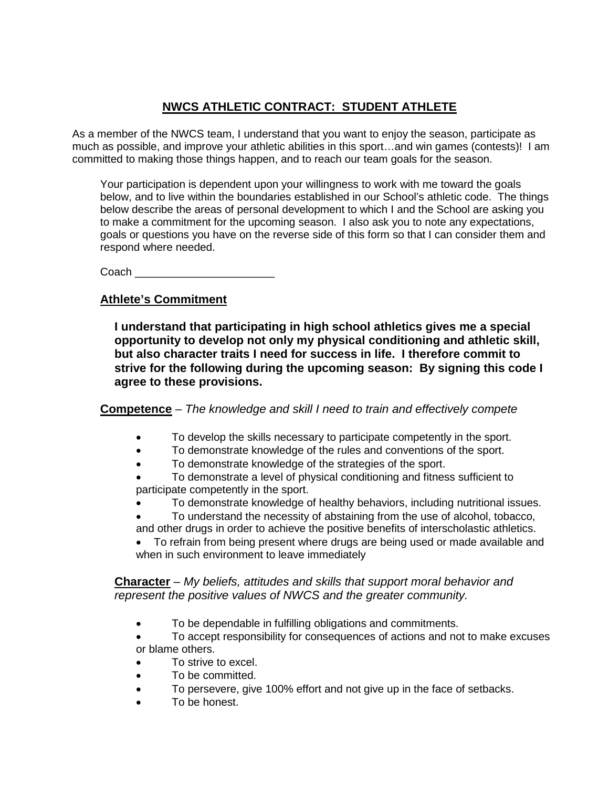## **NWCS ATHLETIC CONTRACT: STUDENT ATHLETE**

As a member of the NWCS team, I understand that you want to enjoy the season, participate as much as possible, and improve your athletic abilities in this sport…and win games (contests)! I am committed to making those things happen, and to reach our team goals for the season.

Your participation is dependent upon your willingness to work with me toward the goals below, and to live within the boundaries established in our School's athletic code. The things below describe the areas of personal development to which I and the School are asking you to make a commitment for the upcoming season. I also ask you to note any expectations, goals or questions you have on the reverse side of this form so that I can consider them and respond where needed.

Coach \_\_\_\_\_\_\_\_\_\_\_\_\_\_\_\_\_\_\_\_\_\_\_

## **Athlete's Commitment**

**I understand that participating in high school athletics gives me a special opportunity to develop not only my physical conditioning and athletic skill, but also character traits I need for success in life. I therefore commit to strive for the following during the upcoming season: By signing this code I agree to these provisions.**

**Competence** – *The knowledge and skill I need to train and effectively compete*

- To develop the skills necessary to participate competently in the sport.
- To demonstrate knowledge of the rules and conventions of the sport.
- To demonstrate knowledge of the strategies of the sport.
- To demonstrate a level of physical conditioning and fitness sufficient to participate competently in the sport.
- To demonstrate knowledge of healthy behaviors, including nutritional issues.
- To understand the necessity of abstaining from the use of alcohol, tobacco,
- and other drugs in order to achieve the positive benefits of interscholastic athletics.
- To refrain from being present where drugs are being used or made available and when in such environment to leave immediately

**Character** – *My beliefs, attitudes and skills that support moral behavior and represent the positive values of NWCS and the greater community.*

- To be dependable in fulfilling obligations and commitments.
- To accept responsibility for consequences of actions and not to make excuses or blame others.
- To strive to excel.
- To be committed.
- To persevere, give 100% effort and not give up in the face of setbacks.
- To be honest.